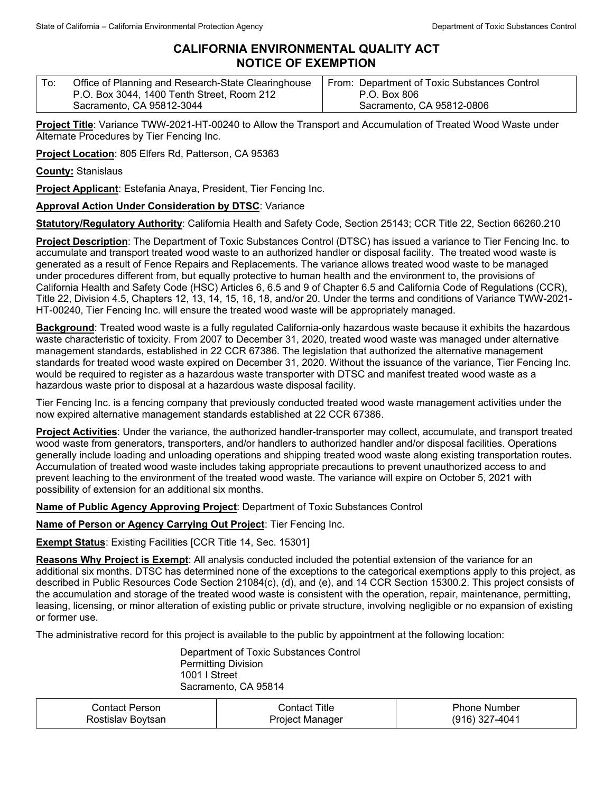## **CALIFORNIA ENVIRONMENTAL QUALITY ACT NOTICE OF EXEMPTION**

| P.O. Box 3044, 1400 Tenth Street, Room 212<br>P.O. Box 806<br>Sacramento, CA 95812-0806<br>Sacramento, CA 95812-3044 | From: Department of Toxic Substances Control |
|----------------------------------------------------------------------------------------------------------------------|----------------------------------------------|
|----------------------------------------------------------------------------------------------------------------------|----------------------------------------------|

**Project Title**: Variance TWW-2021-HT-00240 to Allow the Transport and Accumulation of Treated Wood Waste under Alternate Procedures by Tier Fencing Inc.

**Project Location**: 805 Elfers Rd, Patterson, CA 95363

**County:** Stanislaus

**Project Applicant**: Estefania Anaya, President, Tier Fencing Inc.

## **Approval Action Under Consideration by DTSC**: Variance

**Statutory/Regulatory Authority**: California Health and Safety Code, Section 25143; CCR Title 22, Section 66260.210

**Project Description**: The Department of Toxic Substances Control (DTSC) has issued a variance to Tier Fencing Inc. to accumulate and transport treated wood waste to an authorized handler or disposal facility. The treated wood waste is generated as a result of Fence Repairs and Replacements. The variance allows treated wood waste to be managed under procedures different from, but equally protective to human health and the environment to, the provisions of California Health and Safety Code (HSC) Articles 6, 6.5 and 9 of Chapter 6.5 and California Code of Regulations (CCR), Title 22, Division 4.5, Chapters 12, 13, 14, 15, 16, 18, and/or 20. Under the terms and conditions of Variance TWW-2021- HT-00240, Tier Fencing Inc. will ensure the treated wood waste will be appropriately managed.

**Background**: Treated wood waste is a fully regulated California-only hazardous waste because it exhibits the hazardous waste characteristic of toxicity. From 2007 to December 31, 2020, treated wood waste was managed under alternative management standards, established in 22 CCR 67386. The legislation that authorized the alternative management standards for treated wood waste expired on December 31, 2020. Without the issuance of the variance, Tier Fencing Inc. would be required to register as a hazardous waste transporter with DTSC and manifest treated wood waste as a hazardous waste prior to disposal at a hazardous waste disposal facility.

Tier Fencing Inc. is a fencing company that previously conducted treated wood waste management activities under the now expired alternative management standards established at 22 CCR 67386.

**Project Activities**: Under the variance, the authorized handler-transporter may collect, accumulate, and transport treated wood waste from generators, transporters, and/or handlers to authorized handler and/or disposal facilities. Operations generally include loading and unloading operations and shipping treated wood waste along existing transportation routes. Accumulation of treated wood waste includes taking appropriate precautions to prevent unauthorized access to and prevent leaching to the environment of the treated wood waste. The variance will expire on October 5, 2021 with possibility of extension for an additional six months.

**Name of Public Agency Approving Project**: Department of Toxic Substances Control

**Name of Person or Agency Carrying Out Project**: Tier Fencing Inc.

**Exempt Status**: Existing Facilities [CCR Title 14, Sec. 15301]

**Reasons Why Project is Exempt**: All analysis conducted included the potential extension of the variance for an additional six months. DTSC has determined none of the exceptions to the categorical exemptions apply to this project, as described in Public Resources Code Section 21084(c), (d), and (e), and 14 CCR Section 15300.2. This project consists of the accumulation and storage of the treated wood waste is consistent with the operation, repair, maintenance, permitting, leasing, licensing, or minor alteration of existing public or private structure, involving negligible or no expansion of existing or former use.

The administrative record for this project is available to the public by appointment at the following location:

Department of Toxic Substances Control Permitting Division 1001 I Street Sacramento, CA 95814

| Contact Person    | ontact Titleٽ   | <b>Phone Number</b> |
|-------------------|-----------------|---------------------|
| Rostislav Boytsan | Project Manager | (916) 327-4041      |